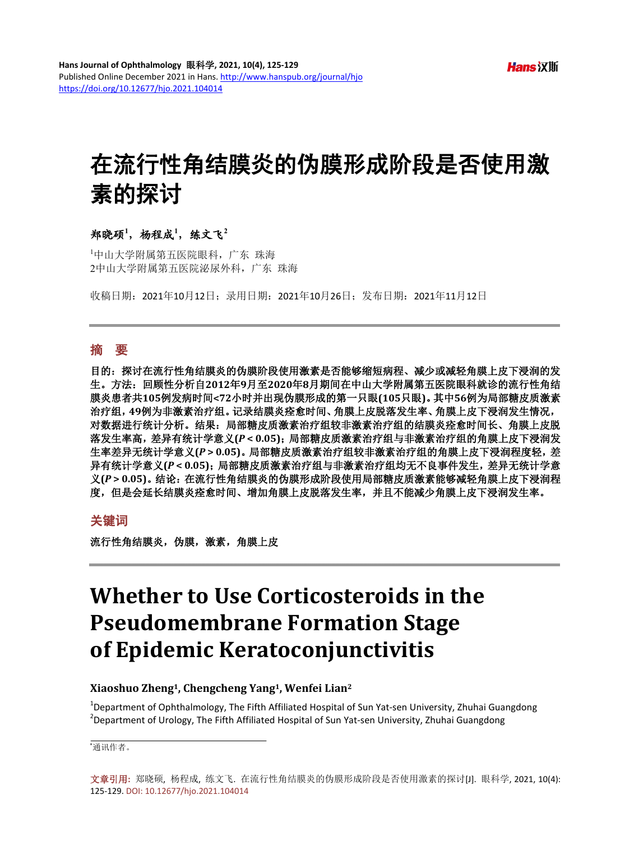# 在流行性角结膜炎的伪膜形成阶段是否使用激 素的探讨

## $*$ 郑晓硕<sup>1</sup>, 杨程成<sup>1</sup>, 练文飞

1 中山大学附属第五医院眼科,广东 珠海 2中山大学附属第五医院泌尿外科,广东 珠海

收稿日期:2021年10月12日;录用日期:2021年10月26日;发布日期:2021年11月12日

## 摘 要

目的:探讨在流行性角结膜炎的伪膜阶段使用激素是否能够缩短病程、减少或减轻角膜上皮下浸润的发 生。方法:回顾性分析自**2012**年**9**月至**2020**年**8**月期间在中山大学附属第五医院眼科就诊的流行性角结 膜炎患者共**105**例发病时间**<72**小时并出现伪膜形成的第一只眼**(105**只眼**)**。其中**56**例为局部糖皮质激素 治疗组,**49**例为非激素治疗组。记录结膜炎痊愈时间、角膜上皮脱落发生率、角膜上皮下浸润发生情况, 对数据进行统计分析。结果:局部糖皮质激素治疗组较非激素治疗组的结膜炎痊愈时间长、角膜上皮脱 落发生率高,差异有统计学意义**(***P* **< 0.05)**;局部糖皮质激素治疗组与非激素治疗组的角膜上皮下浸润发 生率差异无统计学意义**(***P* **> 0.05)**。局部糖皮质激素治疗组较非激素治疗组的角膜上皮下浸润程度轻,差 异有统计学意义**(***P* **< 0.05)**;局部糖皮质激素治疗组与非激素治疗组均无不良事件发生,差异无统计学意 义**(***P* **> 0.05)**。结论:在流行性角结膜炎的伪膜形成阶段使用局部糖皮质激素能够减轻角膜上皮下浸润程 度,但是会延长结膜炎痊愈时间、增加角膜上皮脱落发生率,并且不能减少角膜上皮下浸润发生率。

## 关键词

流行性角结膜炎,伪膜,激素,角膜上皮

## **Whether to Use Corticosteroids in the Pseudomembrane Formation Stage of Epidemic Keratoconjunctivitis**

## **Xiaoshuo Zheng1, Chengcheng Yang1, Wenfei Lian2**

<sup>1</sup>Department of Ophthalmology, The Fifth Affiliated Hospital of Sun Yat-sen University, Zhuhai Guangdong<br><sup>2</sup>Department of Uralogy, The Fifth Affiliated Usepital of Sun Yat sen University, Zhuhai Guangdong  $\beta$  Department of Urology, The Fifth Affiliated Hospital of Sun Yat-sen University, Zhuhai Guangdong

\* 通讯作者。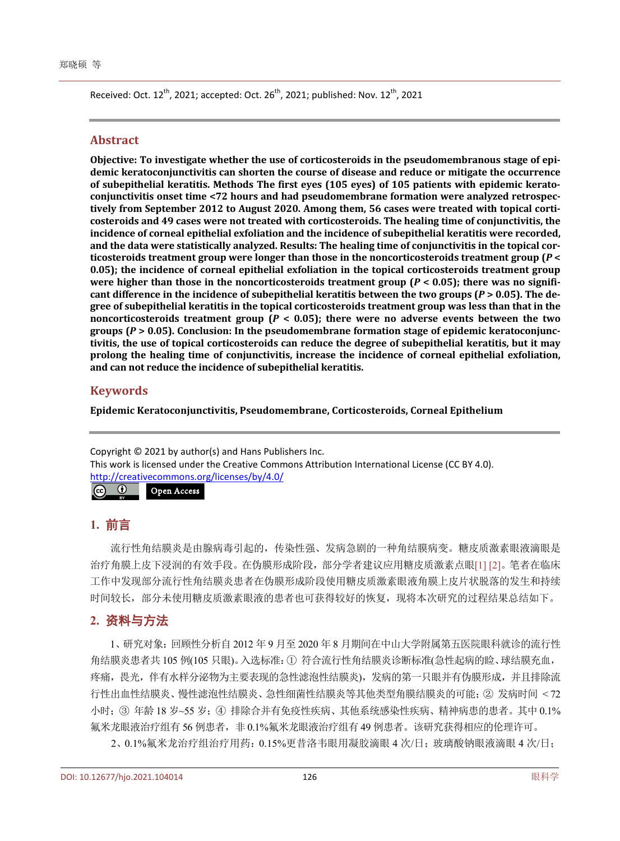Received: Oct. 12<sup>th</sup>, 2021; accepted: Oct. 26<sup>th</sup>, 2021; published: Nov. 12<sup>th</sup>, 2021

## **Abstract**

**Objective: To investigate whether the use of corticosteroids in the pseudomembranous stage of epidemic keratoconjunctivitis can shorten the course of disease and reduce or mitigate the occurrence of subepithelial keratitis. Methods The first eyes (105 eyes) of 105 patients with epidemic keratoconjunctivitis onset time <72 hours and had pseudomembrane formation were analyzed retrospectively from September 2012 to August 2020. Among them, 56 cases were treated with topical corticosteroids and 49 cases were not treated with corticosteroids. The healing time of conjunctivitis, the incidence of corneal epithelial exfoliation and the incidence of subepithelial keratitis were recorded, and the data were statistically analyzed. Results: The healing time of conjunctivitis in the topical corticosteroids treatment group were longer than those in the noncorticosteroids treatment group (***P* **< 0.05); the incidence of corneal epithelial exfoliation in the topical corticosteroids treatment group were higher than those in the noncorticosteroids treatment group (***P* **< 0.05); there was no significant difference in the incidence of subepithelial keratitis between the two groups (***P* **> 0.05). The degree of subepithelial keratitis in the topical corticosteroids treatment group was less than that in the noncorticosteroids treatment group (***P* **< 0.05); there were no adverse events between the two groups (***P* **> 0.05). Conclusion: In the pseudomembrane formation stage of epidemic keratoconjunctivitis, the use of topical corticosteroids can reduce the degree of subepithelial keratitis, but it may prolong the healing time of conjunctivitis, increase the incidence of corneal epithelial exfoliation, and can not reduce the incidence of subepithelial keratitis.**

## **Keywords**

**Epidemic Keratoconjunctivitis, Pseudomembrane, Corticosteroids, Corneal Epithelium**

Copyright © 2021 by author(s) and Hans Publishers Inc. This work is licensed under the Creative Commons Attribution International License (CC BY 4.0). <http://creativecommons.org/licenses/by/4.0/>  $\odot$  $\left( \infty \right)$ Open Access

## **1.** 前言

流行性角结膜炎是由腺病毒引起的,传染性强、发病急剧的一种角结膜病变。糖皮质激素眼液滴眼是 治疗角膜上皮下浸润的有效手段。在伪膜形成阶段,部分学者建议应用糖皮质激素点眼[\[1\]](#page-4-0) [\[2\]](#page-4-1)。笔者在临床 工作中发现部分流行性角结膜炎患者在伪膜形成阶段使用糖皮质激素眼液角膜上皮片状脱落的发生和持续 时间较长,部分未使用糖皮质激素眼液的患者也可获得较好的恢复,现将本次研究的过程结果总结如下。

## **2.** 资料与方法

1、研究对象:回顾性分析自 2012 年 9 月至 2020 年 8 月期间在中山大学附属第五医院眼科就诊的流行性 角结膜炎患者共 105 例(105 只眼)。入选标准:① 符合流行性角结膜炎诊断标准(急性起病的睑、球结膜充血, 疼痛,畏光,伴有水样分泌物为主要表现的急性滤泡性结膜炎),发病的第一只眼并有伪膜形成,并且排除流 行性出血性结膜炎、慢性滤泡性结膜炎、急性细菌性结膜炎等其他类型角膜结膜炎的可能;② 发病时间 < 72 小时;③ 年龄 18 岁~55 岁;④ 排除合并有免疫性疾病、其他系统感染性疾病、精神病患的患者。其中 0.1% 氟米龙眼液治疗组有 56 例患者,非 0.1%氟米龙眼液治疗组有 49 例患者。该研究获得相应的伦理许可。

2、0.1%氟米龙治疗组治疗用药:0.15%更昔洛韦眼用凝胶滴眼 4 次/日;玻璃酸钠眼液滴眼 4 次/日;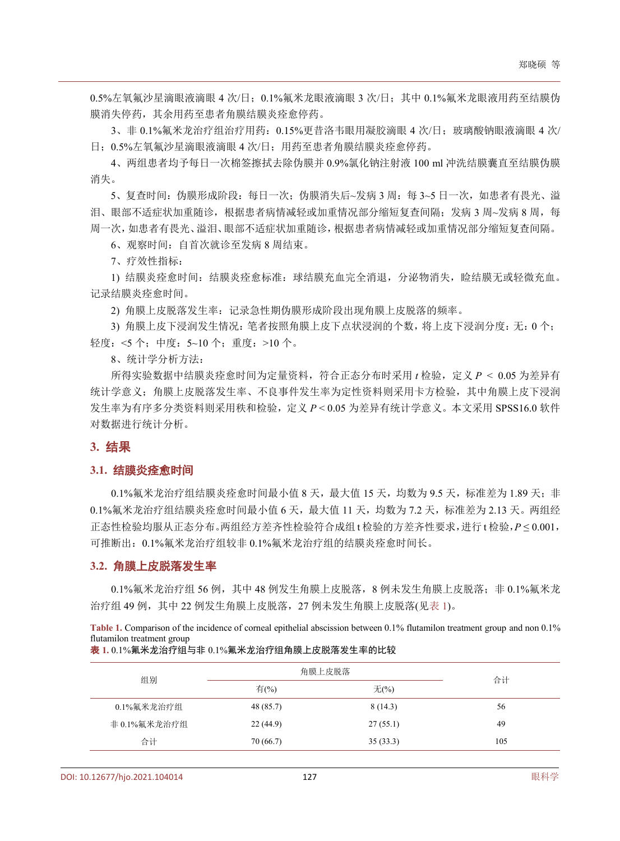0.5%左氧氟沙星滴眼液滴眼 4 次/日;0.1%氟米龙眼液滴眼 3 次/日;其中 0.1%氟米龙眼液用药至结膜伪 膜消失停药,其余用药至患者角膜结膜炎痊愈停药。

3、非 0.1%氟米龙治疗组治疗用药:0.15%更昔洛韦眼用凝胶滴眼 4 次/日;玻璃酸钠眼液滴眼 4 次/ 日;0.5%左氧氟沙星滴眼液滴眼 4 次/日;用药至患者角膜结膜炎痊愈停药。

4、两组患者均予每日一次棉签擦拭去除伪膜并 0.9%氯化钠注射液 100 ml 冲洗结膜囊直至结膜伪膜 消失。

5、复查时间: 伪膜形成阶段: 每日一次; 伪膜消失后~发病 3 周: 每 3~5 日一次, 如患者有畏光、溢 泪、眼部不适症状加重随诊,根据患者病情减轻或加重情况部分缩短复查间隔;发病 3 周~发病 8 周,每 周一次,如患者有畏光、溢泪、眼部不适症状加重随诊,根据患者病情减轻或加重情况部分缩短复查间隔。

6、观察时间:自首次就诊至发病 8 周结束。

7、疗效性指标:

1) 结膜炎痊愈时间: 结膜炎痊愈标准: 球结膜充血完全消退, 分泌物消失, 睑结膜无或轻微充血。 记录结膜炎痊愈时间。

2) 角膜上皮脱落发生率:记录急性期伪膜形成阶段出现角膜上皮脱落的频率。

3) 角膜上皮下浸润发生情况:笔者按照角膜上皮下点状浸润的个数,将上皮下浸润分度:无:0 个; 轻度:<5 个;中度:5~10 个;重度:>10 个。

8、统计学分析方法:

所得实验数据中结膜炎痊愈时间为定量资料,符合正态分布时采用 t 检验, 定义 *P* < 0.05 为差异有 统计学意义;角膜上皮脱落发生率、不良事件发生率为定性资料则采用卡方检验,其中角膜上皮下浸润 发生率为有序多分类资料则采用秩和检验,定义 *P* < 0.05 为差异有统计学意义。本文采用 SPSS16.0 软件 对数据进行统计分析。

### **3.** 结果

#### **3.1.** 结膜炎痊愈时间

 $0.1$ %氟米龙治疗组结膜炎痊愈时间最小值 8 天,最大值 15 天,均数为 9.5 天,标准差为 1.89 天; 非 0.1%氟米龙治疗组结膜炎痊愈时间最小值 6 天,最大值 11 天,均数为 7.2 天,标准差为 2.13 天。两组经 正态性检验均服从正态分布。两组经方差齐性检验符合成组 t 检验的方差齐性要求,进行 t 检验,*P* ≤ 0.001, 可推断出:0.1%氟米龙治疗组较非 0.1%氟米龙治疗组的结膜炎痊愈时间长。

#### **3.2.** 角膜上皮脱落发生率

0.1%氟米龙治疗组 56 例, 其中 48 例发生角膜上皮脱落, 8 例未发生角膜上皮脱落; 非 0.1%氟米龙 治疗组 49 例, 其中 22 例发生角膜上皮脱落, 27 例未发生角膜上皮脱落([见表](#page-2-0) 1)。

<span id="page-2-0"></span>**Table 1.** Comparison of the incidence of corneal epithelial abscission between 0.1% flutamilon treatment group and non 0.1% flutamilon treatment group

表 **1.** 0.1%氟米龙治疗组与非 0.1%氟米龙治疗组角膜上皮脱落发生率的比较

| 组别           | 角膜上皮脱落    | 合计       |     |  |
|--------------|-----------|----------|-----|--|
|              | 有(%)      | 无 $(%)$  |     |  |
| 0.1%氟米龙治疗组   | 48 (85.7) | 8(14.3)  | 56  |  |
| 非 0.1%氟米龙治疗组 | 22(44.9)  | 27(55.1) | 49  |  |
| 合计           | 70(66.7)  | 35(33.3) | 105 |  |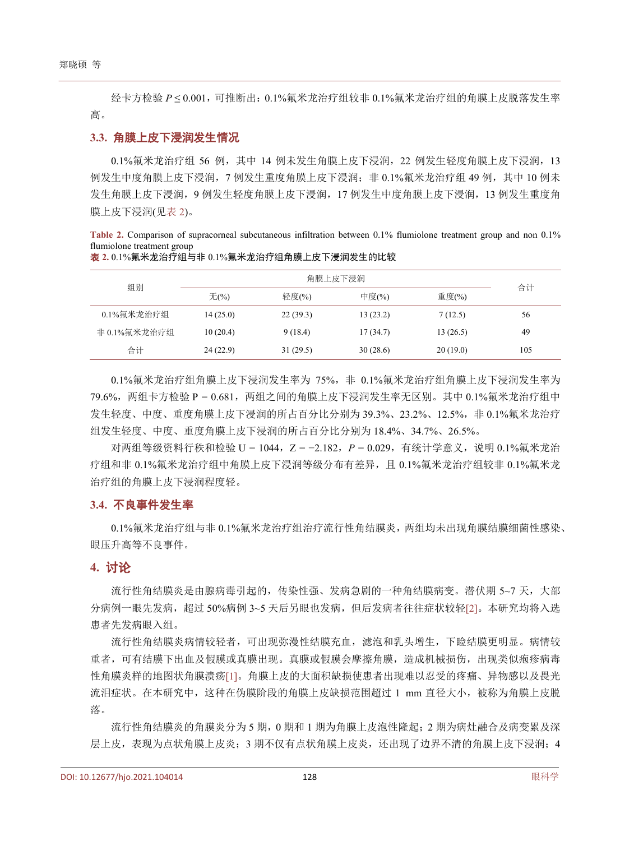经卡方检验 *P* ≤ 0.001,可推断出:0.1%氟米龙治疗组较非 0.1%氟米龙治疗组的角膜上皮脱落发生率 高。

### **3.3.** 角膜上皮下浸润发生情况

0.1%氟米龙治疗组 56 例, 其中 14 例未发生角膜上皮下浸润, 22 例发生轻度角膜上皮下浸润, 13 例发生中度角膜上皮下浸润,7 例发生重度角膜上皮下浸润;非 0.1%氟米龙治疗组 49 例,其中 10 例未 发生角膜上皮下浸润,9 例发生轻度角膜上皮下浸润,17 例发生中度角膜上皮下浸润,13 例发生重度角 膜上皮下浸润([见表](#page-3-0) 2)。

<span id="page-3-0"></span>**Table 2.** Comparison of supracorneal subcutaneous infiltration between 0.1% flumiolone treatment group and non 0.1% flumiolone treatment group

| 组别           |          | 角膜上皮下浸润  |          |          |     |
|--------------|----------|----------|----------|----------|-----|
|              | 无 $(\%)$ | 轻度(%)    | 中度(%)    | 重度(%)    | 合计  |
| 0.1%氟米龙治疗组   | 14(25.0) | 22(39.3) | 13(23.2) | 7(12.5)  | 56  |
| 非 0.1%氟米龙治疗组 | 10(20.4) | 9(18.4)  | 17(34.7) | 13(26.5) | 49  |
| 合计           | 24(22.9) | 31(29.5) | 30(28.6) | 20(19.0) | 105 |

表 **2.** 0.1%氟米龙治疗组与非 0.1%氟米龙治疗组角膜上皮下浸润发生的比较

0.1%氟米龙治疗组角膜上皮下浸润发生率为 75%,非 0.1%氟米龙治疗组角膜上皮下浸润发生率为 79.6%, 两组卡方检验 P = 0.681, 两组之间的角膜上皮下浸润发生率无区别。其中 0.1%氟米龙治疗组中 发生轻度、中度、重度角膜上皮下浸润的所占百分比分别为 39.3%、23.2%、12.5%,非 0.1%氟米龙治疗 组发生轻度、中度、重度角膜上皮下浸润的所占百分比分别为 18.4%、34.7%、26.5%。

对两组等级资料行秩和检验 U = 1044, Z = −2.182, P = 0.029, 有统计学意义, 说明 0.1%氟米龙治 疗组和非 0.1%氟米龙治疗组中角膜上皮下浸润等级分布有差异,且 0.1%氟米龙治疗组较非 0.1%氟米龙 治疗组的角膜上皮下浸润程度轻。

## **3.4.** 不良事件发生率

0.1%氟米龙治疗组与非 0.1%氟米龙治疗组治疗流行性角结膜炎,两组均未出现角膜结膜细菌性感染、 眼压升高等不良事件。

## **4.** 讨论

流行性角结膜炎是由腺病毒引起的,传染性强、发病急剧的一种角结膜病变。潜伏期 5~7 天,大部 分病例一眼先发病,超过 50%病例 3~5 天后另眼也发病,但后发病者往往症状较轻[\[2\]](#page-4-1)。本研究均将入选 患者先发病眼入组。

流行性角结膜炎病情较轻者,可出现弥漫性结膜充血,滤泡和乳头增生,下睑结膜更明显。病情较 重者,可有结膜下出血及假膜或真膜出现。真膜或假膜会摩擦角膜,造成机械损伤,出现类似疱疹病毒 性角膜炎样的地图状角膜溃疡[\[1\]](#page-4-0)。角膜上皮的大面积缺损使患者出现难以忍受的疼痛、异物感以及畏光 流泪症状。在本研究中,这种在伪膜阶段的角膜上皮缺损范围超过 1 mm 直径大小,被称为角膜上皮脱 落。

流行性角结膜炎的角膜炎分为 5 期, 0 期和 1 期为角膜上皮泡性隆起; 2 期为病灶融合及病变累及深 层上皮,表现为点状角膜上皮炎;3 期不仅有点状角膜上皮炎,还出现了边界不清的角膜上皮下浸润;4